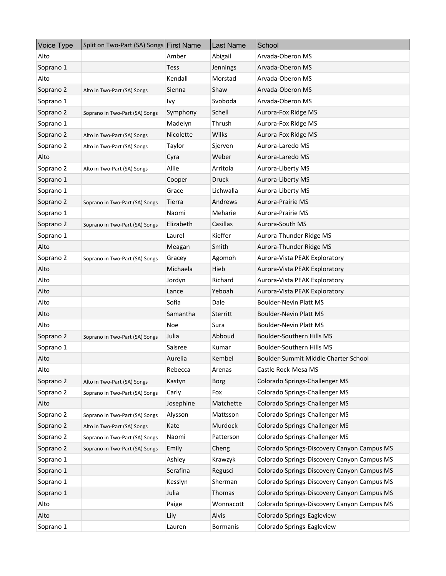| Voice Type | Split on Two-Part (SA) Songs First Name |               | Last Name    | School                                      |
|------------|-----------------------------------------|---------------|--------------|---------------------------------------------|
| Alto       |                                         | Amber         | Abigail      | Arvada-Oberon MS                            |
| Soprano 1  |                                         | <b>Tess</b>   | Jennings     | Arvada-Oberon MS                            |
| Alto       |                                         | Kendall       | Morstad      | Arvada-Oberon MS                            |
| Soprano 2  | Alto in Two-Part (SA) Songs             | Sienna        | Shaw         | Arvada-Oberon MS                            |
| Soprano 1  |                                         | Ivy           | Svoboda      | Arvada-Oberon MS                            |
| Soprano 2  | Soprano in Two-Part (SA) Songs          | Symphony      | Schell       | Aurora-Fox Ridge MS                         |
| Soprano 1  |                                         | Madelyn       | Thrush       | Aurora-Fox Ridge MS                         |
| Soprano 2  | Alto in Two-Part (SA) Songs             | Nicolette     | Wilks        | Aurora-Fox Ridge MS                         |
| Soprano 2  | Alto in Two-Part (SA) Songs             | <b>Taylor</b> | Sjerven      | Aurora-Laredo MS                            |
| Alto       |                                         | Cyra          | Weber        | Aurora-Laredo MS                            |
| Soprano 2  | Alto in Two-Part (SA) Songs             | Allie         | Arritola     | Aurora-Liberty MS                           |
| Soprano 1  |                                         | Cooper        | <b>Druck</b> | Aurora-Liberty MS                           |
| Soprano 1  |                                         | Grace         | Lichwalla    | Aurora-Liberty MS                           |
| Soprano 2  | Soprano in Two-Part (SA) Songs          | Tierra        | Andrews      | <b>Aurora-Prairie MS</b>                    |
| Soprano 1  |                                         | Naomi         | Meharie      | Aurora-Prairie MS                           |
| Soprano 2  | Soprano in Two-Part (SA) Songs          | Elizabeth     | Casillas     | Aurora-South MS                             |
| Soprano 1  |                                         | Laurel        | Kieffer      | Aurora-Thunder Ridge MS                     |
| Alto       |                                         | Meagan        | Smith        | Aurora-Thunder Ridge MS                     |
| Soprano 2  | Soprano in Two-Part (SA) Songs          | Gracey        | Agomoh       | Aurora-Vista PEAK Exploratory               |
| Alto       |                                         | Michaela      | Hieb         | Aurora-Vista PEAK Exploratory               |
| Alto       |                                         | Jordyn        | Richard      | Aurora-Vista PEAK Exploratory               |
| Alto       |                                         | Lance         | Yeboah       | Aurora-Vista PEAK Exploratory               |
| Alto       |                                         | Sofia         | Dale         | <b>Boulder-Nevin Platt MS</b>               |
| Alto       |                                         | Samantha      | Sterritt     | <b>Boulder-Nevin Platt MS</b>               |
| Alto       |                                         | Noe           | Sura         | <b>Boulder-Nevin Platt MS</b>               |
| Soprano 2  | Soprano in Two-Part (SA) Songs          | Julia         | Abboud       | Boulder-Southern Hills MS                   |
| Soprano 1  |                                         | Saisree       | Kumar        | <b>Boulder-Southern Hills MS</b>            |
| Alto       |                                         | Aurelia       | Kembel       | Boulder-Summit Middle Charter School        |
| Alto       |                                         | Rebecca       | Arenas       | Castle Rock-Mesa MS                         |
| Soprano 2  | Alto in Two-Part (SA) Songs             | Kastyn        | <b>Borg</b>  | Colorado Springs-Challenger MS              |
| Soprano 2  | Soprano in Two-Part (SA) Songs          | Carly         | Fox          | Colorado Springs-Challenger MS              |
| Alto       |                                         | Josephine     | Matchette    | Colorado Springs-Challenger MS              |
| Soprano 2  | Soprano in Two-Part (SA) Songs          | Alysson       | Mattsson     | Colorado Springs-Challenger MS              |
| Soprano 2  | Alto in Two-Part (SA) Songs             | Kate          | Murdock      | Colorado Springs-Challenger MS              |
| Soprano 2  | Soprano in Two-Part (SA) Songs          | Naomi         | Patterson    | Colorado Springs-Challenger MS              |
| Soprano 2  | Soprano in Two-Part (SA) Songs          | Emily         | Cheng        | Colorado Springs-Discovery Canyon Campus MS |
| Soprano 1  |                                         | Ashley        | Krawzyk      | Colorado Springs-Discovery Canyon Campus MS |
| Soprano 1  |                                         | Serafina      | Regusci      | Colorado Springs-Discovery Canyon Campus MS |
| Soprano 1  |                                         | Kesslyn       | Sherman      | Colorado Springs-Discovery Canyon Campus MS |
| Soprano 1  |                                         | Julia         | Thomas       | Colorado Springs-Discovery Canyon Campus MS |
| Alto       |                                         | Paige         | Wonnacott    | Colorado Springs-Discovery Canyon Campus MS |
| Alto       |                                         | Lily          | Alvis        | Colorado Springs-Eagleview                  |
| Soprano 1  |                                         | Lauren        | Bormanis     | Colorado Springs-Eagleview                  |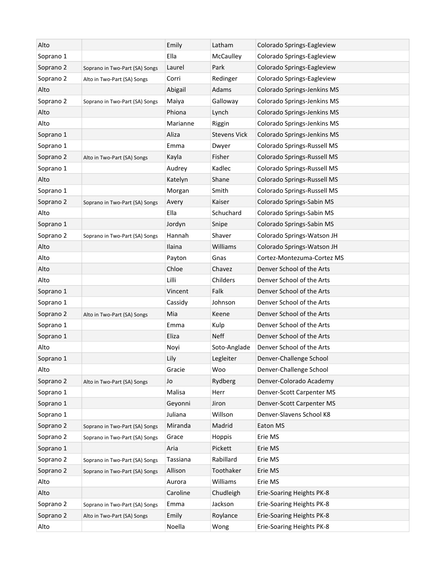| Alto      |                                | Emily    | Latham              | Colorado Springs-Eagleview  |
|-----------|--------------------------------|----------|---------------------|-----------------------------|
| Soprano 1 |                                | Ella     | McCaulley           | Colorado Springs-Eagleview  |
| Soprano 2 | Soprano in Two-Part (SA) Songs | Laurel   | Park                | Colorado Springs-Eagleview  |
| Soprano 2 | Alto in Two-Part (SA) Songs    | Corri    | Redinger            | Colorado Springs-Eagleview  |
| Alto      |                                | Abigail  | Adams               | Colorado Springs-Jenkins MS |
| Soprano 2 | Soprano in Two-Part (SA) Songs | Maiya    | Galloway            | Colorado Springs-Jenkins MS |
| Alto      |                                | Phiona   | Lynch               | Colorado Springs-Jenkins MS |
| Alto      |                                | Marianne | Riggin              | Colorado Springs-Jenkins MS |
| Soprano 1 |                                | Aliza    | <b>Stevens Vick</b> | Colorado Springs-Jenkins MS |
| Soprano 1 |                                | Emma     | Dwyer               | Colorado Springs-Russell MS |
| Soprano 2 | Alto in Two-Part (SA) Songs    | Kayla    | Fisher              | Colorado Springs-Russell MS |
| Soprano 1 |                                | Audrey   | Kadlec              | Colorado Springs-Russell MS |
| Alto      |                                | Katelyn  | Shane               | Colorado Springs-Russell MS |
| Soprano 1 |                                | Morgan   | Smith               | Colorado Springs-Russell MS |
| Soprano 2 | Soprano in Two-Part (SA) Songs | Avery    | Kaiser              | Colorado Springs-Sabin MS   |
| Alto      |                                | Ella     | Schuchard           | Colorado Springs-Sabin MS   |
| Soprano 1 |                                | Jordyn   | Snipe               | Colorado Springs-Sabin MS   |
| Soprano 2 | Soprano in Two-Part (SA) Songs | Hannah   | Shaver              | Colorado Springs-Watson JH  |
| Alto      |                                | Ilaina   | Williams            | Colorado Springs-Watson JH  |
| Alto      |                                | Payton   | Gnas                | Cortez-Montezuma-Cortez MS  |
| Alto      |                                | Chloe    | Chavez              | Denver School of the Arts   |
| Alto      |                                | Lilli    | Childers            | Denver School of the Arts   |
| Soprano 1 |                                | Vincent  | Falk                | Denver School of the Arts   |
| Soprano 1 |                                | Cassidy  | Johnson             | Denver School of the Arts   |
| Soprano 2 | Alto in Two-Part (SA) Songs    | Mia      | Keene               | Denver School of the Arts   |
| Soprano 1 |                                | Emma     | Kulp                | Denver School of the Arts   |
| Soprano 1 |                                | Eliza    | <b>Neff</b>         | Denver School of the Arts   |
| Alto      |                                | Noyi     | Soto-Anglade        | Denver School of the Arts   |
| Soprano 1 |                                | Lily     | Legleiter           | Denver-Challenge School     |
| Alto      |                                | Gracie   | Woo                 | Denver-Challenge School     |
| Soprano 2 | Alto in Two-Part (SA) Songs    | Jo       | Rydberg             | Denver-Colorado Academy     |
| Soprano 1 |                                | Malisa   | Herr                | Denver-Scott Carpenter MS   |
| Soprano 1 |                                | Geyonni  | Jiron               | Denver-Scott Carpenter MS   |
| Soprano 1 |                                | Juliana  | Willson             | Denver-Slavens School K8    |
| Soprano 2 | Soprano in Two-Part (SA) Songs | Miranda  | Madrid              | Eaton MS                    |
| Soprano 2 | Soprano in Two-Part (SA) Songs | Grace    | Hoppis              | Erie MS                     |
| Soprano 1 |                                | Aria     | Pickett             | Erie MS                     |
| Soprano 2 | Soprano in Two-Part (SA) Songs | Tassiana | Rabillard           | Erie MS                     |
| Soprano 2 | Soprano in Two-Part (SA) Songs | Allison  | Toothaker           | Erie MS                     |
| Alto      |                                | Aurora   | Williams            | Erie MS                     |
| Alto      |                                | Caroline | Chudleigh           | Erie-Soaring Heights PK-8   |
| Soprano 2 | Soprano in Two-Part (SA) Songs | Emma     | Jackson             | Erie-Soaring Heights PK-8   |
| Soprano 2 | Alto in Two-Part (SA) Songs    | Emily    | Roylance            | Erie-Soaring Heights PK-8   |
| Alto      |                                | Noella   | Wong                | Erie-Soaring Heights PK-8   |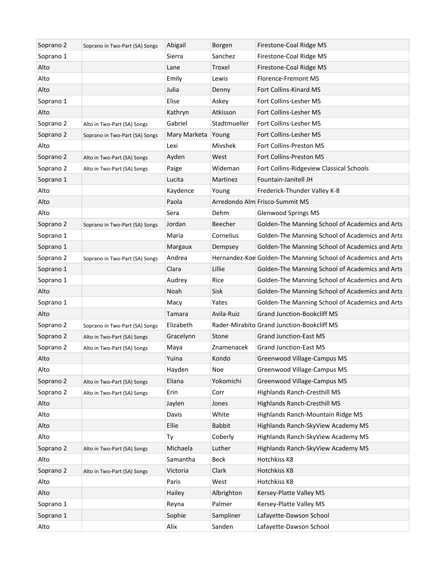| Soprano 2 | Soprano in Two-Part (SA) Songs | Abigail            | Borgen        | Firestone-Coal Ridge MS                                       |
|-----------|--------------------------------|--------------------|---------------|---------------------------------------------------------------|
| Soprano 1 |                                | Sierra             | Sanchez       | Firestone-Coal Ridge MS                                       |
| Alto      |                                | Lane               | Troxel        | Firestone-Coal Ridge MS                                       |
| Alto      |                                | Emily              | Lewis         | Florence-Fremont MS                                           |
| Alto      |                                | Julia              | Denny         | Fort Collins-Kinard MS                                        |
| Soprano 1 |                                | Elise              | Askey         | Fort Collins-Lesher MS                                        |
| Alto      |                                | Kathryn            | Atkisson      | Fort Collins-Lesher MS                                        |
| Soprano 2 | Alto in Two-Part (SA) Songs    | Gabriel            | Stadtmueller  | Fort Collins-Lesher MS                                        |
| Soprano 2 | Soprano in Two-Part (SA) Songs | Mary Marketa Young |               | Fort Collins-Lesher MS                                        |
| Alto      |                                | Lexi               | Mivshek       | Fort Collins-Preston MS                                       |
| Soprano 2 | Alto in Two-Part (SA) Songs    | Ayden              | West          | Fort Collins-Preston MS                                       |
| Soprano 2 | Alto in Two-Part (SA) Songs    | Paige              | Wideman       | Fort Collins-Ridgeview Classical Schools                      |
| Soprano 1 |                                | Lucita             | Martinez      | Fountain-Janitell JH                                          |
| Alto      |                                | Kaydence           | Young         | Frederick-Thunder Valley K-8                                  |
| Alto      |                                | Paola              |               | Arredondo Alm Frisco-Summit MS                                |
| Alto      |                                | Sera               | Dehm          | Glenwood Springs MS                                           |
| Soprano 2 | Soprano in Two-Part (SA) Songs | Jordan             | Beecher       | Golden-The Manning School of Academics and Arts               |
| Soprano 1 |                                | Maria              | Cornelius     | Golden-The Manning School of Academics and Arts               |
| Soprano 1 |                                | Margaux            | Dempsey       | Golden-The Manning School of Academics and Arts               |
| Soprano 2 | Soprano in Two-Part (SA) Songs | Andrea             |               | Hernandez-Koe Golden-The Manning School of Academics and Arts |
| Soprano 1 |                                | Clara              | Lillie        | Golden-The Manning School of Academics and Arts               |
| Soprano 1 |                                | Audrey             | Rice          | Golden-The Manning School of Academics and Arts               |
| Alto      |                                | Noah               | Sisk          | Golden-The Manning School of Academics and Arts               |
| Soprano 1 |                                | Macy               | Yates         | Golden-The Manning School of Academics and Arts               |
| Alto      |                                | <b>Tamara</b>      | Avila-Ruiz    | <b>Grand Junction-Bookcliff MS</b>                            |
| Soprano 2 | Soprano in Two-Part (SA) Songs | Elizabeth          |               | Rader-Mirabito Grand Junction-Bookcliff MS                    |
| Soprano 2 | Alto in Two-Part (SA) Songs    | Gracelynn          | Stone         | <b>Grand Junction-East MS</b>                                 |
| Soprano 2 | Alto in Two-Part (SA) Songs    | Maya               | Znamenacek    | <b>Grand Junction-East MS</b>                                 |
| Alto      |                                | Yuina              | Kondo         | Greenwood Village-Campus MS                                   |
| Alto      |                                | Hayden             | Noe           | Greenwood Village-Campus MS                                   |
| Soprano 2 | Alto in Two-Part (SA) Songs    | Eliana             | Yokomichi     | Greenwood Village-Campus MS                                   |
| Soprano 2 | Alto in Two-Part (SA) Songs    | Erin               | Corr          | <b>Highlands Ranch-Cresthill MS</b>                           |
| Alto      |                                | Jaylen             | Jones         | <b>Highlands Ranch-Cresthill MS</b>                           |
| Alto      |                                | Davis              | White         | Highlands Ranch-Mountain Ridge MS                             |
| Alto      |                                | Ellie              | <b>Babbit</b> | Highlands Ranch-SkyView Academy MS                            |
| Alto      |                                | Ty                 | Coberly       | Highlands Ranch-SkyView Academy MS                            |
| Soprano 2 | Alto in Two-Part (SA) Songs    | Michaela           | Luther        | Highlands Ranch-SkyView Academy MS                            |
| Alto      |                                | Samantha           | Beck          | Hotchkiss K8                                                  |
| Soprano 2 | Alto in Two-Part (SA) Songs    | Victoria           | Clark         | Hotchkiss K8                                                  |
| Alto      |                                | Paris              | West          | Hotchkiss K8                                                  |
| Alto      |                                | Hailey             | Albrighton    | Kersey-Platte Valley MS                                       |
| Soprano 1 |                                | Reyna              | Palmer        | Kersey-Platte Valley MS                                       |
| Soprano 1 |                                | Sophie             | Sampliner     | Lafayette-Dawson School                                       |
| Alto      |                                | Alix               | Sanden        | Lafayette-Dawson School                                       |